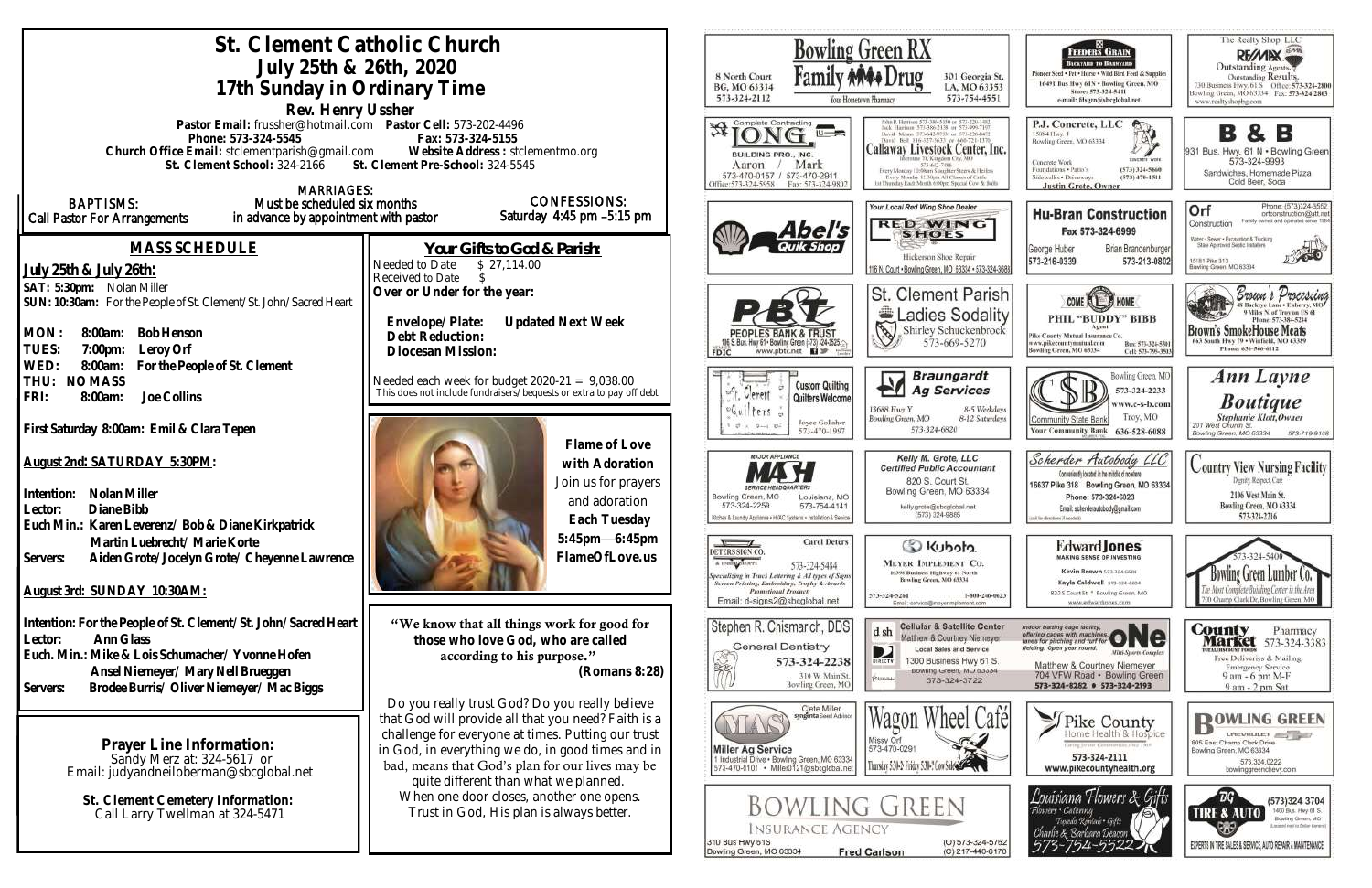